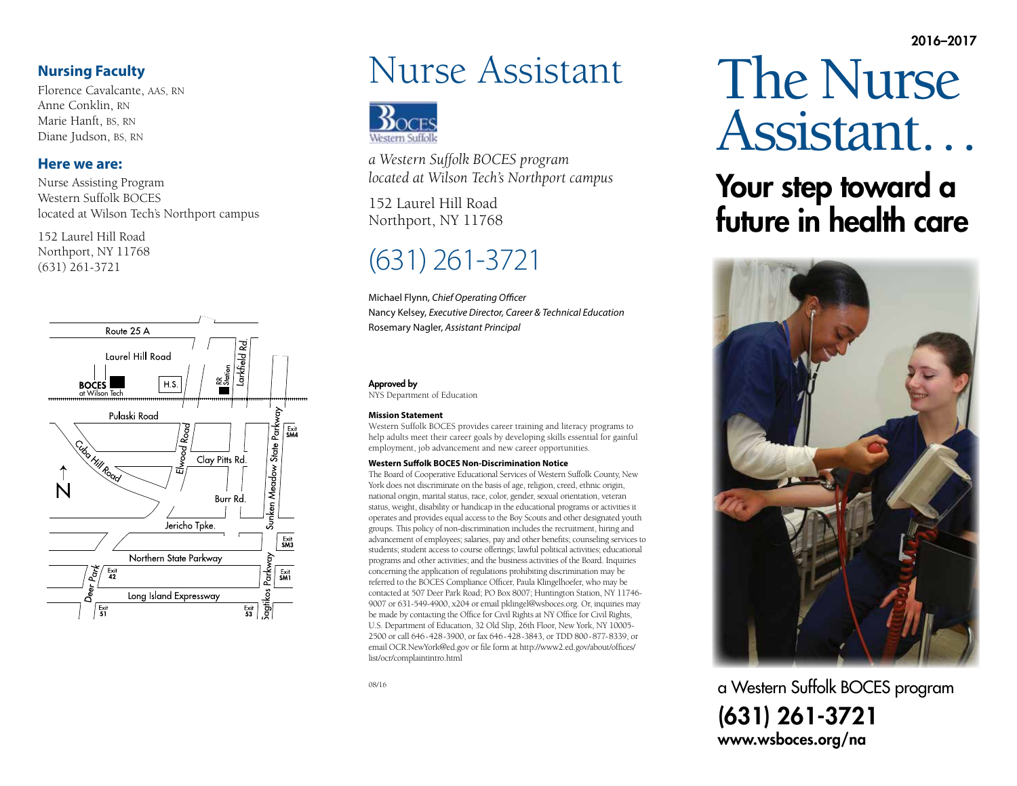2016–2017

#### **Nursing Faculty**

Florence Cavalcante, AAS, RN Anne Conklin, RN Marie Hanft, BS, RN Diane Judson, BS, RN

#### **Here we are:**

Nurse Assisting Program Western Suffolk BOCES located at Wilson Tech's Northport campus

152 Laurel Hill Road Northport, NY 11768 (631) 261-3721



# Nurse Assistant



*a Western Suffolk BOCES program located at Wilson Tech's Northport campus*

152 Laurel Hill Road Northport, NY 11768

## (631) 261-3721

Michael Flynn, *Chief Operating Officer* Nancy Kelsey, *Executive Director, Career & Technical Education* Rosemary Nagler, *Assistant Principal*

#### Approved by

NYS Department of Education

#### **Mission Statement**

Western Suffolk BOCES provides career training and literacy programs to help adults meet their career goals by developing skills essential for gainful employment, job advancement and new career opportunities.

#### **Western Suffolk BOCES Non-Discrimination Notice**

The Board of Cooperative Educational Services of Western Suffolk County, New York does not discriminate on the basis of age, religion, creed, ethnic origin, national origin, marital status, race, color, gender, sexual orientation, veteran status, weight, disability or handicap in the educational programs or activities it operates and provides equal access to the Boy Scouts and other designated youth groups. This policy of non-discrimination includes the recruitment, hiring and advancement of employees; salaries, pay and other benefits; counseling services to students; student access to course offerings; lawful political activities; educational programs and other activities; and the business activities of the Board. Inquiries concerning the application of regulations prohibiting discrimination may be referred to the BOCES Compliance Officer, Paula Klingelhoefer, who may be contacted at 507 Deer Park Road; PO Box 8007; Huntington Station, NY 11746- 9007 or 631-549-4900, x204 or email pklingel@wsboces.org. Or, inquiries may be made by contacting the Office for Civil Rights at NY Office for Civil Rights, U.S. Department of Education, 32 Old Slip, 26th Floor, New York, NY 10005- 2500 or call 646-428-3900, or fax 646-428-3843, or TDD 800-877-8339, or email OCR.NewYork@ed.gov or file form at http://www2.ed.gov/about/offices/ list/ocr/complaintintro.html

# The Nurse Assistant…

# Your step toward a future in health care



a Western Suffolk BOCES program (631) 261-3721 www.wsboces.org/na